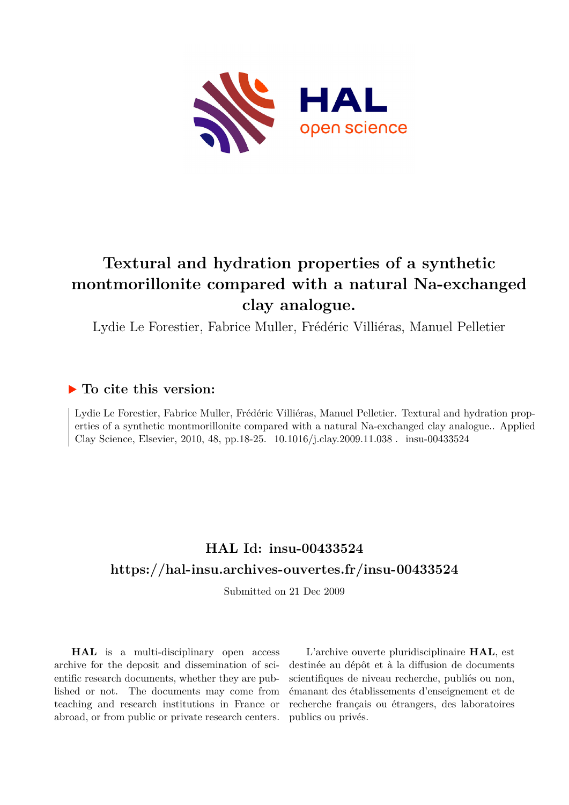

# **Textural and hydration properties of a synthetic montmorillonite compared with a natural Na-exchanged clay analogue.**

Lydie Le Forestier, Fabrice Muller, Frédéric Villiéras, Manuel Pelletier

# **To cite this version:**

Lydie Le Forestier, Fabrice Muller, Frédéric Villiéras, Manuel Pelletier. Textural and hydration properties of a synthetic montmorillonite compared with a natural Na-exchanged clay analogue.. Applied Clay Science, Elsevier, 2010, 48, pp.18-25. 10.1016/j.clay.2009.11.038. insu-00433524

# **HAL Id: insu-00433524 <https://hal-insu.archives-ouvertes.fr/insu-00433524>**

Submitted on 21 Dec 2009

**HAL** is a multi-disciplinary open access archive for the deposit and dissemination of scientific research documents, whether they are published or not. The documents may come from teaching and research institutions in France or abroad, or from public or private research centers.

L'archive ouverte pluridisciplinaire **HAL**, est destinée au dépôt et à la diffusion de documents scientifiques de niveau recherche, publiés ou non, émanant des établissements d'enseignement et de recherche français ou étrangers, des laboratoires publics ou privés.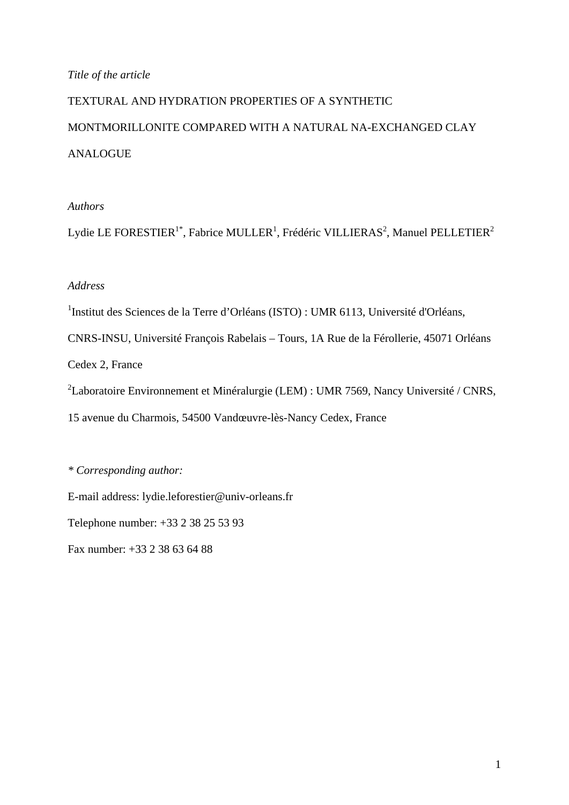#### *Title of the article*

# TEXTURAL AND HYDRATION PROPERTIES OF A SYNTHETIC MONTMORILLONITE COMPARED WITH A NATURAL NA-EXCHANGED CLAY ANALOGUE

#### *Authors*

Lydie LE FORESTIER<sup>1\*</sup>, Fabrice MULLER<sup>1</sup>, Frédéric VILLIERAS<sup>2</sup>, Manuel PELLETIER<sup>2</sup>

#### *Address*

<sup>1</sup>Institut des Sciences de la Terre d'Orléans (ISTO) : UMR 6113, Université d'Orléans,

CNRS-INSU, Université François Rabelais – Tours, 1A Rue de la Férollerie, 45071 Orléans

Cedex 2, France

<sup>2</sup>Laboratoire Environnement et Minéralurgie (LEM) : UMR 7569, Nancy Université / CNRS,

15 avenue du Charmois, 54500 Vandœuvre-lès-Nancy Cedex, France

#### *\* Corresponding author:*

E-mail address: lydie.leforestier@univ-orleans.fr

Telephone number: +33 2 38 25 53 93

Fax number: +33 2 38 63 64 88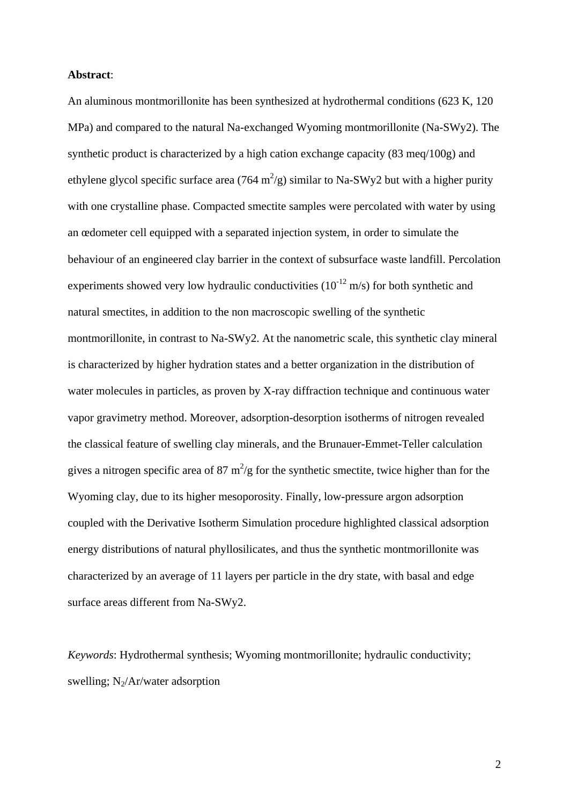#### **Abstract**:

An aluminous montmorillonite has been synthesized at hydrothermal conditions (623 K, 120 MPa) and compared to the natural Na-exchanged Wyoming montmorillonite (Na-SWy2). The synthetic product is characterized by a high cation exchange capacity (83 meq/100g) and ethylene glycol specific surface area (764 m<sup>2</sup>/g) similar to Na-SWy2 but with a higher purity with one crystalline phase. Compacted smectite samples were percolated with water by using an œdometer cell equipped with a separated injection system, in order to simulate the behaviour of an engineered clay barrier in the context of subsurface waste landfill. Percolation experiments showed very low hydraulic conductivities  $(10^{-12} \text{ m/s})$  for both synthetic and natural smectites, in addition to the non macroscopic swelling of the synthetic montmorillonite, in contrast to Na-SWy2. At the nanometric scale, this synthetic clay mineral is characterized by higher hydration states and a better organization in the distribution of water molecules in particles, as proven by X-ray diffraction technique and continuous water vapor gravimetry method. Moreover, adsorption-desorption isotherms of nitrogen revealed the classical feature of swelling clay minerals, and the Brunauer-Emmet-Teller calculation gives a nitrogen specific area of 87  $m^2/g$  for the synthetic smectite, twice higher than for the Wyoming clay, due to its higher mesoporosity. Finally, low-pressure argon adsorption coupled with the Derivative Isotherm Simulation procedure highlighted classical adsorption energy distributions of natural phyllosilicates, and thus the synthetic montmorillonite was characterized by an average of 11 layers per particle in the dry state, with basal and edge surface areas different from Na-SWy2.

*Keywords*: Hydrothermal synthesis; Wyoming montmorillonite; hydraulic conductivity; swelling;  $N_2/Ar/water$  adsorption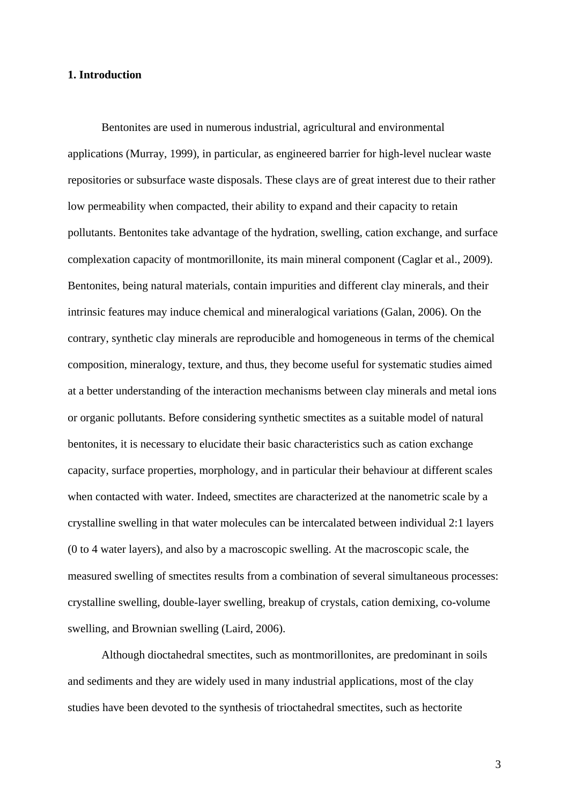#### **1. Introduction**

 Bentonites are used in numerous industrial, agricultural and environmental applications (Murray, 1999), in particular, as engineered barrier for high-level nuclear waste repositories or subsurface waste disposals. These clays are of great interest due to their rather low permeability when compacted, their ability to expand and their capacity to retain pollutants. Bentonites take advantage of the hydration, swelling, cation exchange, and surface complexation capacity of montmorillonite, its main mineral component (Caglar et al., 2009). Bentonites, being natural materials, contain impurities and different clay minerals, and their intrinsic features may induce chemical and mineralogical variations (Galan, 2006). On the contrary, synthetic clay minerals are reproducible and homogeneous in terms of the chemical composition, mineralogy, texture, and thus, they become useful for systematic studies aimed at a better understanding of the interaction mechanisms between clay minerals and metal ions or organic pollutants. Before considering synthetic smectites as a suitable model of natural bentonites, it is necessary to elucidate their basic characteristics such as cation exchange capacity, surface properties, morphology, and in particular their behaviour at different scales when contacted with water. Indeed, smectites are characterized at the nanometric scale by a crystalline swelling in that water molecules can be intercalated between individual 2:1 layers (0 to 4 water layers), and also by a macroscopic swelling. At the macroscopic scale, the measured swelling of smectites results from a combination of several simultaneous processes: crystalline swelling, double-layer swelling, breakup of crystals, cation demixing, co-volume swelling, and Brownian swelling (Laird, 2006).

Although dioctahedral smectites, such as montmorillonites, are predominant in soils and sediments and they are widely used in many industrial applications, most of the clay studies have been devoted to the synthesis of trioctahedral smectites, such as hectorite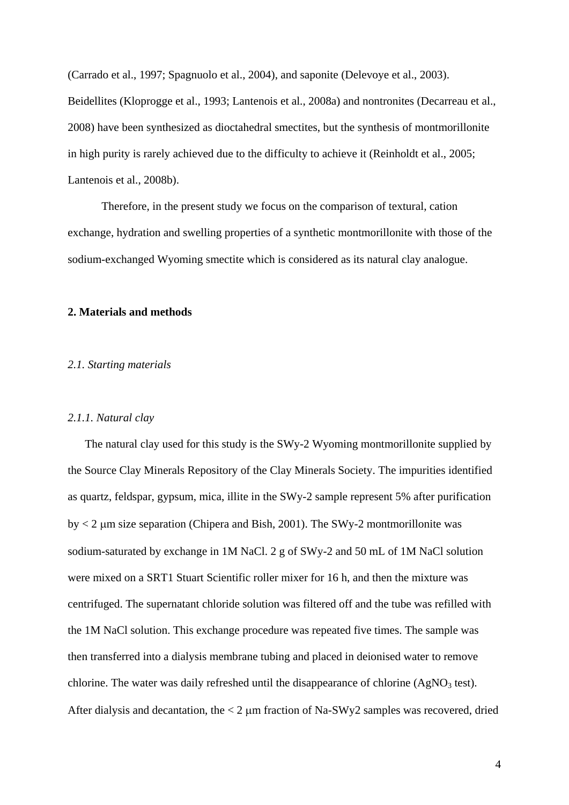(Carrado et al., 1997; Spagnuolo et al., 2004), and saponite (Delevoye et al., 2003). Beidellites (Kloprogge et al., 1993; Lantenois et al., 2008a) and nontronites (Decarreau et al., 2008) have been synthesized as dioctahedral smectites, but the synthesis of montmorillonite in high purity is rarely achieved due to the difficulty to achieve it (Reinholdt et al., 2005; Lantenois et al., 2008b).

Therefore, in the present study we focus on the comparison of textural, cation exchange, hydration and swelling properties of a synthetic montmorillonite with those of the sodium-exchanged Wyoming smectite which is considered as its natural clay analogue.

#### **2. Materials and methods**

#### *2.1. Starting materials*

#### *2.1.1. Natural clay*

The natural clay used for this study is the SWy-2 Wyoming montmorillonite supplied by the Source Clay Minerals Repository of the Clay Minerals Society. The impurities identified as quartz, feldspar, gypsum, mica, illite in the SWy-2 sample represent 5% after purification by  $< 2$  µm size separation (Chipera and Bish, 2001). The SWy-2 montmorillonite was sodium-saturated by exchange in 1M NaCl. 2 g of SWy-2 and 50 mL of 1M NaCl solution were mixed on a SRT1 Stuart Scientific roller mixer for 16 h, and then the mixture was centrifuged. The supernatant chloride solution was filtered off and the tube was refilled with the 1M NaCl solution. This exchange procedure was repeated five times. The sample was then transferred into a dialysis membrane tubing and placed in deionised water to remove chlorine. The water was daily refreshed until the disappearance of chlorine  $(AgNO<sub>3</sub> test)$ . After dialysis and decantation, the < 2 μm fraction of Na-SWy2 samples was recovered, dried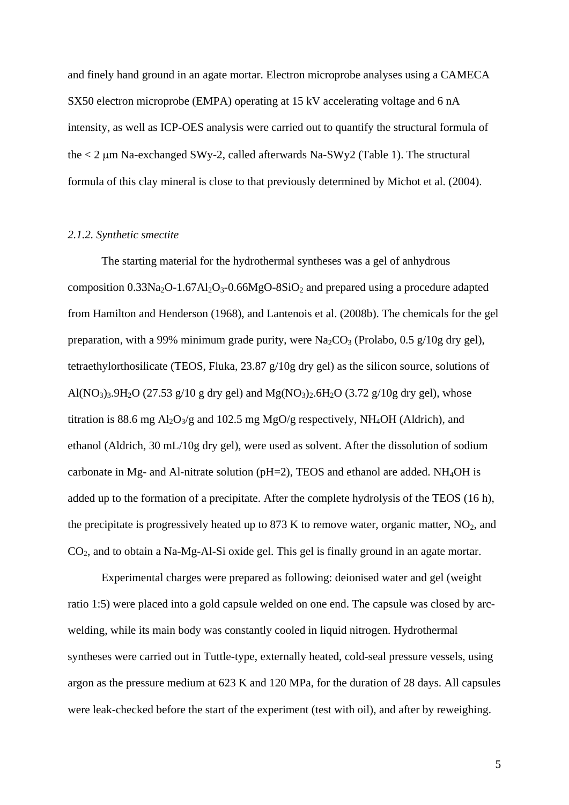and finely hand ground in an agate mortar. Electron microprobe analyses using a CAMECA SX50 electron microprobe (EMPA) operating at 15 kV accelerating voltage and 6 nA intensity, as well as ICP-OES analysis were carried out to quantify the structural formula of the < 2 μm Na-exchanged SWy-2, called afterwards Na-SWy2 (Table 1). The structural formula of this clay mineral is close to that previously determined by Michot et al. (2004).

#### *2.1.2. Synthetic smectite*

The starting material for the hydrothermal syntheses was a gel of anhydrous composition  $0.33Na<sub>2</sub>O-1.67Al<sub>2</sub>O<sub>3</sub>-0.66MgO-8SiO<sub>2</sub>$  and prepared using a procedure adapted from Hamilton and Henderson (1968), and Lantenois et al. (2008b). The chemicals for the gel preparation, with a 99% minimum grade purity, were  $Na_2CO_3$  (Prolabo, 0.5 g/10g dry gel), tetraethylorthosilicate (TEOS, Fluka, 23.87 g/10g dry gel) as the silicon source, solutions of Al(NO<sub>3</sub>)<sub>3</sub>.9H<sub>2</sub>O (27.53 g/10 g dry gel) and Mg(NO<sub>3</sub>)<sub>2</sub>.6H<sub>2</sub>O (3.72 g/10g dry gel), whose titration is 88.6 mg  $Al_2O_3/g$  and 102.5 mg MgO/g respectively, NH<sub>4</sub>OH (Aldrich), and ethanol (Aldrich, 30 mL/10g dry gel), were used as solvent. After the dissolution of sodium carbonate in Mg- and Al-nitrate solution ( $pH=2$ ), TEOS and ethanol are added. NH<sub>4</sub>OH is added up to the formation of a precipitate. After the complete hydrolysis of the TEOS (16 h), the precipitate is progressively heated up to 873 K to remove water, organic matter,  $NO<sub>2</sub>$ , and CO2, and to obtain a Na-Mg-Al-Si oxide gel. This gel is finally ground in an agate mortar.

Experimental charges were prepared as following: deionised water and gel (weight ratio 1:5) were placed into a gold capsule welded on one end. The capsule was closed by arcwelding, while its main body was constantly cooled in liquid nitrogen. Hydrothermal syntheses were carried out in Tuttle-type, externally heated, cold-seal pressure vessels, using argon as the pressure medium at 623 K and 120 MPa, for the duration of 28 days. All capsules were leak-checked before the start of the experiment (test with oil), and after by reweighing.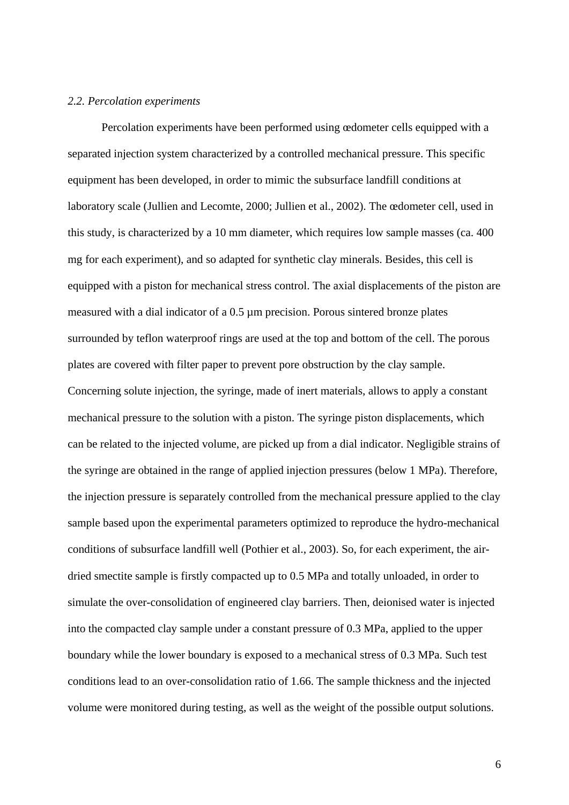#### *2.2. Percolation experiments*

 Percolation experiments have been performed using œdometer cells equipped with a separated injection system characterized by a controlled mechanical pressure. This specific equipment has been developed, in order to mimic the subsurface landfill conditions at laboratory scale (Jullien and Lecomte, 2000; Jullien et al., 2002). The œdometer cell, used in this study, is characterized by a 10 mm diameter, which requires low sample masses (ca. 400 mg for each experiment), and so adapted for synthetic clay minerals. Besides, this cell is equipped with a piston for mechanical stress control. The axial displacements of the piston are measured with a dial indicator of a 0.5 µm precision. Porous sintered bronze plates surrounded by teflon waterproof rings are used at the top and bottom of the cell. The porous plates are covered with filter paper to prevent pore obstruction by the clay sample. Concerning solute injection, the syringe, made of inert materials, allows to apply a constant mechanical pressure to the solution with a piston. The syringe piston displacements, which can be related to the injected volume, are picked up from a dial indicator. Negligible strains of the syringe are obtained in the range of applied injection pressures (below 1 MPa). Therefore, the injection pressure is separately controlled from the mechanical pressure applied to the clay sample based upon the experimental parameters optimized to reproduce the hydro-mechanical conditions of subsurface landfill well (Pothier et al., 2003). So, for each experiment, the airdried smectite sample is firstly compacted up to 0.5 MPa and totally unloaded, in order to simulate the over-consolidation of engineered clay barriers. Then, deionised water is injected into the compacted clay sample under a constant pressure of 0.3 MPa, applied to the upper boundary while the lower boundary is exposed to a mechanical stress of 0.3 MPa. Such test conditions lead to an over-consolidation ratio of 1.66. The sample thickness and the injected volume were monitored during testing, as well as the weight of the possible output solutions.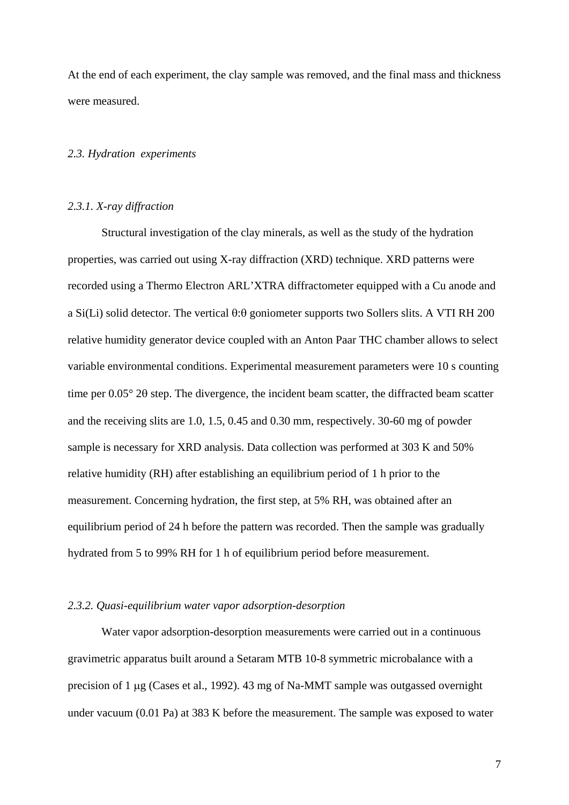At the end of each experiment, the clay sample was removed, and the final mass and thickness were measured.

#### *2.3. Hydration experiments*

#### *2.3.1. X-ray diffraction*

 Structural investigation of the clay minerals, as well as the study of the hydration properties, was carried out using X-ray diffraction (XRD) technique. XRD patterns were recorded using a Thermo Electron ARL'XTRA diffractometer equipped with a Cu anode and a Si(Li) solid detector. The vertical  $\theta$ : $\theta$  goniometer supports two Sollers slits. A VTI RH 200 relative humidity generator device coupled with an Anton Paar THC chamber allows to select variable environmental conditions. Experimental measurement parameters were 10 s counting time per 0.05° 2θ step. The divergence, the incident beam scatter, the diffracted beam scatter and the receiving slits are 1.0, 1.5, 0.45 and 0.30 mm, respectively. 30-60 mg of powder sample is necessary for XRD analysis. Data collection was performed at 303 K and 50% relative humidity (RH) after establishing an equilibrium period of 1 h prior to the measurement. Concerning hydration, the first step, at 5% RH, was obtained after an equilibrium period of 24 h before the pattern was recorded. Then the sample was gradually hydrated from 5 to 99% RH for 1 h of equilibrium period before measurement.

#### *2.3.2. Quasi-equilibrium water vapor adsorption-desorption*

 Water vapor adsorption-desorption measurements were carried out in a continuous gravimetric apparatus built around a Setaram MTB 10-8 symmetric microbalance with a precision of 1 μg (Cases et al., 1992). 43 mg of Na-MMT sample was outgassed overnight under vacuum (0.01 Pa) at 383 K before the measurement. The sample was exposed to water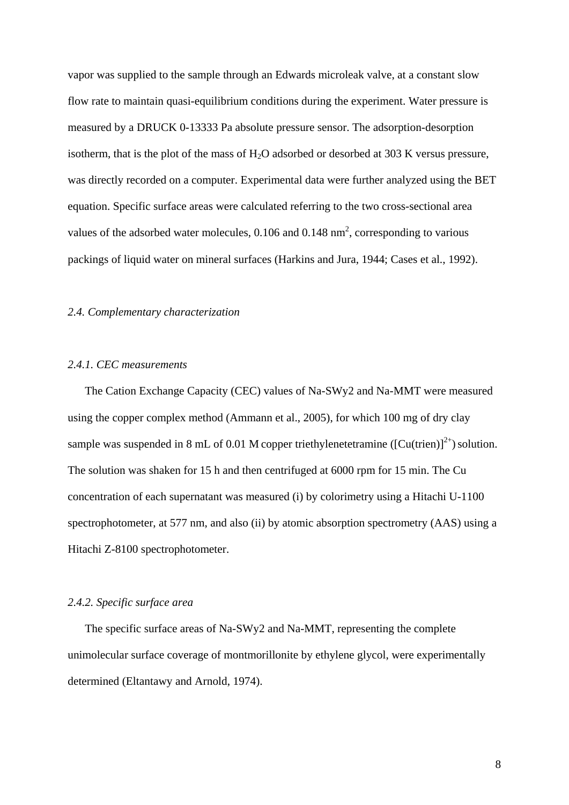vapor was supplied to the sample through an Edwards microleak valve, at a constant slow flow rate to maintain quasi-equilibrium conditions during the experiment. Water pressure is measured by a DRUCK 0-13333 Pa absolute pressure sensor. The adsorption-desorption isotherm, that is the plot of the mass of  $H_2O$  adsorbed or desorbed at 303 K versus pressure, was directly recorded on a computer. Experimental data were further analyzed using the BET equation. Specific surface areas were calculated referring to the two cross-sectional area values of the adsorbed water molecules,  $0.106$  and  $0.148$  nm<sup>2</sup>, corresponding to various packings of liquid water on mineral surfaces (Harkins and Jura, 1944; Cases et al., 1992).

#### *2.4. Complementary characterization*

#### *2.4.1. CEC measurements*

The Cation Exchange Capacity (CEC) values of Na-SWy2 and Na-MMT were measured using the copper complex method (Ammann et al., 2005), for which 100 mg of dry clay sample was suspended in 8 mL of 0.01 M copper triethylenetetramine ( $\left[Cu(trien)\right]^{2+}$ ) solution. The solution was shaken for 15 h and then centrifuged at 6000 rpm for 15 min. The Cu concentration of each supernatant was measured (i) by colorimetry using a Hitachi U-1100 spectrophotometer, at 577 nm, and also (ii) by atomic absorption spectrometry (AAS) using a Hitachi Z-8100 spectrophotometer.

#### *2.4.2. Specific surface area*

The specific surface areas of Na-SWy2 and Na-MMT, representing the complete unimolecular surface coverage of montmorillonite by ethylene glycol, were experimentally determined (Eltantawy and Arnold, 1974).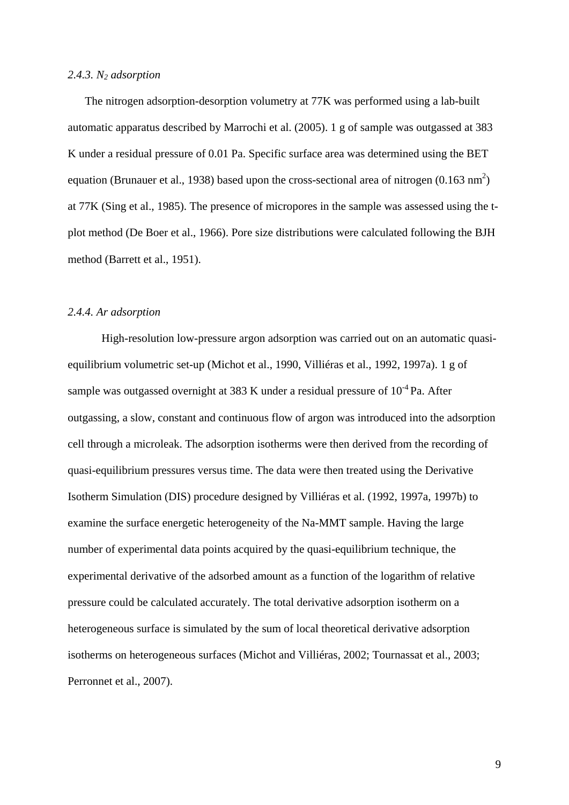#### *2.4.3. N2 adsorption*

The nitrogen adsorption-desorption volumetry at 77K was performed using a lab-built automatic apparatus described by Marrochi et al. (2005). 1 g of sample was outgassed at 383 K under a residual pressure of 0.01 Pa. Specific surface area was determined using the BET equation (Brunauer et al., 1938) based upon the cross-sectional area of nitrogen  $(0.163 \text{ nm}^2)$ at 77K (Sing et al., 1985). The presence of micropores in the sample was assessed using the tplot method (De Boer et al., 1966). Pore size distributions were calculated following the BJH method (Barrett et al., 1951).

#### *2.4.4. Ar adsorption*

High-resolution low-pressure argon adsorption was carried out on an automatic quasiequilibrium volumetric set-up (Michot et al., 1990, Villiéras et al., 1992, 1997a). 1 g of sample was outgassed overnight at 383 K under a residual pressure of  $10^{-4}$  Pa. After outgassing, a slow, constant and continuous flow of argon was introduced into the adsorption cell through a microleak. The adsorption isotherms were then derived from the recording of quasi-equilibrium pressures versus time. The data were then treated using the Derivative Isotherm Simulation (DIS) procedure designed by Villiéras et al. (1992, 1997a, 1997b) to examine the surface energetic heterogeneity of the Na-MMT sample. Having the large number of experimental data points acquired by the quasi-equilibrium technique, the experimental derivative of the adsorbed amount as a function of the logarithm of relative pressure could be calculated accurately. The total derivative adsorption isotherm on a heterogeneous surface is simulated by the sum of local theoretical derivative adsorption isotherms on heterogeneous surfaces (Michot and Villiéras, 2002; Tournassat et al., 2003; Perronnet et al., 2007).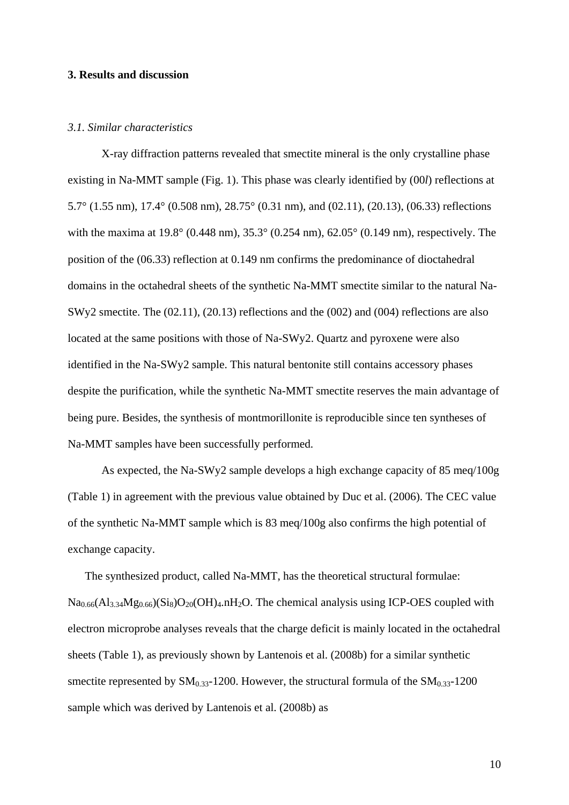#### **3. Results and discussion**

#### *3.1. Similar characteristics*

X-ray diffraction patterns revealed that smectite mineral is the only crystalline phase existing in Na-MMT sample (Fig. 1). This phase was clearly identified by (00*l*) reflections at 5.7° (1.55 nm), 17.4° (0.508 nm), 28.75° (0.31 nm), and (02.11), (20.13), (06.33) reflections with the maxima at 19.8° (0.448 nm), 35.3° (0.254 nm), 62.05° (0.149 nm), respectively. The position of the (06.33) reflection at 0.149 nm confirms the predominance of dioctahedral domains in the octahedral sheets of the synthetic Na-MMT smectite similar to the natural Na-SWy2 smectite. The (02.11), (20.13) reflections and the (002) and (004) reflections are also located at the same positions with those of Na-SWy2. Quartz and pyroxene were also identified in the Na-SWy2 sample. This natural bentonite still contains accessory phases despite the purification, while the synthetic Na-MMT smectite reserves the main advantage of being pure. Besides, the synthesis of montmorillonite is reproducible since ten syntheses of Na-MMT samples have been successfully performed.

As expected, the Na-SWy2 sample develops a high exchange capacity of 85 meq/100g (Table 1) in agreement with the previous value obtained by Duc et al. (2006). The CEC value of the synthetic Na-MMT sample which is 83 meq/100g also confirms the high potential of exchange capacity.

The synthesized product, called Na-MMT, has the theoretical structural formulae:  $Na<sub>0.66</sub>(Al<sub>3.34</sub>Mg<sub>0.66</sub>)(Si<sub>8</sub>)O<sub>20</sub>(OH)<sub>4</sub>.nH<sub>2</sub>O. The chemical analysis using ICP-OES coupled with$ electron microprobe analyses reveals that the charge deficit is mainly located in the octahedral sheets (Table 1), as previously shown by Lantenois et al. (2008b) for a similar synthetic smectite represented by  $SM<sub>0.33</sub>$ -1200. However, the structural formula of the  $SM<sub>0.33</sub>$ -1200 sample which was derived by Lantenois et al. (2008b) as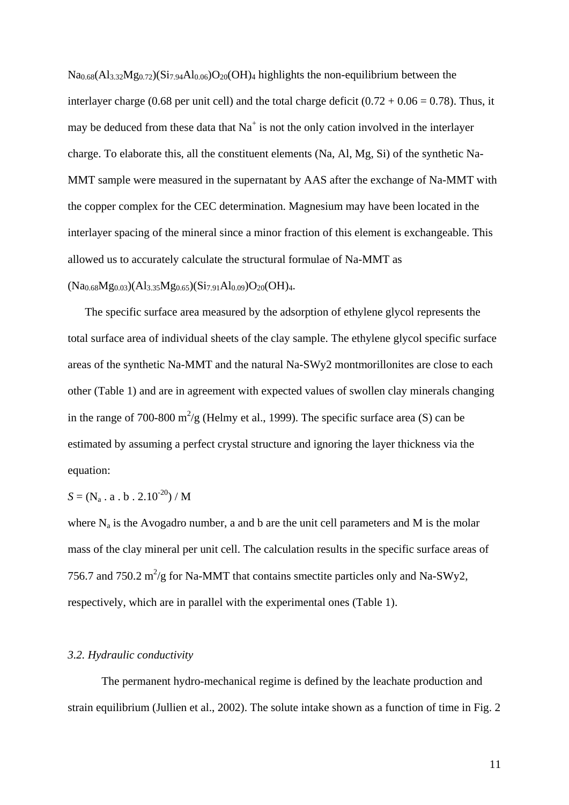$Na<sub>0.68</sub>(Al<sub>3.32</sub>Mg<sub>0.72</sub>)(Si<sub>7.94</sub>Al<sub>0.06</sub>)O<sub>20</sub>(OH)<sub>4</sub> highlights the non-equilibrium between the$ interlayer charge (0.68 per unit cell) and the total charge deficit  $(0.72 + 0.06 = 0.78)$ . Thus, it may be deduced from these data that  $Na<sup>+</sup>$  is not the only cation involved in the interlayer charge. To elaborate this, all the constituent elements (Na, Al, Mg, Si) of the synthetic Na-MMT sample were measured in the supernatant by AAS after the exchange of Na-MMT with the copper complex for the CEC determination. Magnesium may have been located in the interlayer spacing of the mineral since a minor fraction of this element is exchangeable. This allowed us to accurately calculate the structural formulae of Na-MMT as

 $(Na_{0.68}Mg_{0.03})(Al_{3.35}Mg_{0.65})(Si_{7.91}Al_{0.09})O_{20}(OH)_{4}.$ 

The specific surface area measured by the adsorption of ethylene glycol represents the total surface area of individual sheets of the clay sample. The ethylene glycol specific surface areas of the synthetic Na-MMT and the natural Na-SWy2 montmorillonites are close to each other (Table 1) and are in agreement with expected values of swollen clay minerals changing in the range of 700-800 m<sup>2</sup>/g (Helmy et al., 1999). The specific surface area (S) can be estimated by assuming a perfect crystal structure and ignoring the layer thickness via the equation:

$$
S=(N_a\;.\;a\;.\;b\;.\;2.10^{20})\;/\;M
$$

where  $N_a$  is the Avogadro number, a and b are the unit cell parameters and M is the molar mass of the clay mineral per unit cell. The calculation results in the specific surface areas of 756.7 and 750.2  $m^2/g$  for Na-MMT that contains smectite particles only and Na-SWy2, respectively, which are in parallel with the experimental ones (Table 1).

#### *3.2. Hydraulic conductivity*

 The permanent hydro-mechanical regime is defined by the leachate production and strain equilibrium (Jullien et al., 2002). The solute intake shown as a function of time in Fig. 2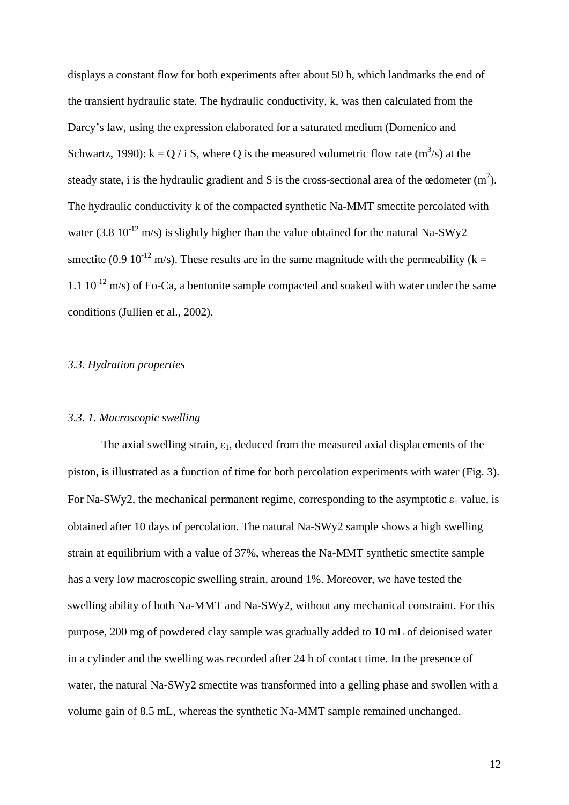displays a constant flow for both experiments after about 50 h, which landmarks the end of the transient hydraulic state. The hydraulic conductivity, k, was then calculated from the Darcy's law, using the expression elaborated for a saturated medium (Domenico and Schwartz, 1990):  $k = Q / i S$ , where Q is the measured volumetric flow rate  $(m<sup>3</sup>/s)$  at the steady state, i is the hydraulic gradient and S is the cross-sectional area of the œdometer  $(m^2)$ . The hydraulic conductivity k of the compacted synthetic Na-MMT smectite percolated with water (3.8  $10^{-12}$  m/s) is slightly higher than the value obtained for the natural Na-SWy2 smectite (0.9 10<sup>-12</sup> m/s). These results are in the same magnitude with the permeability (k = 1.1  $10^{-12}$  m/s) of Fo-Ca, a bentonite sample compacted and soaked with water under the same conditions (Jullien et al., 2002).

#### *3.3. Hydration properties*

#### *3.3. 1. Macroscopic swelling*

The axial swelling strain,  $\varepsilon_1$ , deduced from the measured axial displacements of the piston, is illustrated as a function of time for both percolation experiments with water (Fig. 3). For Na-SWy2, the mechanical permanent regime, corresponding to the asymptotic  $\varepsilon_1$  value, is obtained after 10 days of percolation. The natural Na-SWy2 sample shows a high swelling strain at equilibrium with a value of 37%, whereas the Na-MMT synthetic smectite sample has a very low macroscopic swelling strain, around 1%. Moreover, we have tested the swelling ability of both Na-MMT and Na-SWy2, without any mechanical constraint. For this purpose, 200 mg of powdered clay sample was gradually added to 10 mL of deionised water in a cylinder and the swelling was recorded after 24 h of contact time. In the presence of water, the natural Na-SWy2 smectite was transformed into a gelling phase and swollen with a volume gain of 8.5 mL, whereas the synthetic Na-MMT sample remained unchanged.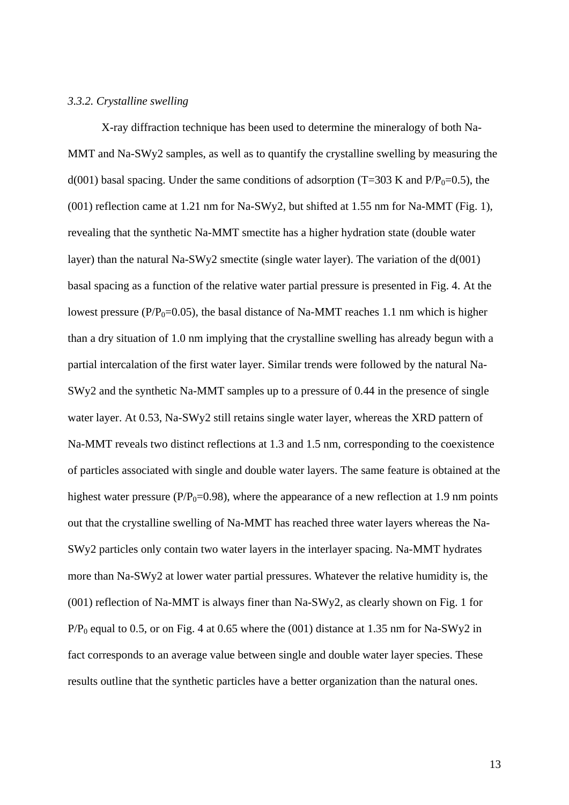#### *3.3.2. Crystalline swelling*

X-ray diffraction technique has been used to determine the mineralogy of both Na-MMT and Na-SWy2 samples, as well as to quantify the crystalline swelling by measuring the  $d(001)$  basal spacing. Under the same conditions of adsorption (T=303 K and P/P<sub>0</sub>=0.5), the (001) reflection came at 1.21 nm for Na-SWy2, but shifted at 1.55 nm for Na-MMT (Fig. 1), revealing that the synthetic Na-MMT smectite has a higher hydration state (double water layer) than the natural Na-SWy2 smectite (single water layer). The variation of the d(001) basal spacing as a function of the relative water partial pressure is presented in Fig. 4. At the lowest pressure ( $P/P_0$ =0.05), the basal distance of Na-MMT reaches 1.1 nm which is higher than a dry situation of 1.0 nm implying that the crystalline swelling has already begun with a partial intercalation of the first water layer. Similar trends were followed by the natural Na-SWy2 and the synthetic Na-MMT samples up to a pressure of 0.44 in the presence of single water layer. At 0.53, Na-SWy2 still retains single water layer, whereas the XRD pattern of Na-MMT reveals two distinct reflections at 1.3 and 1.5 nm, corresponding to the coexistence of particles associated with single and double water layers. The same feature is obtained at the highest water pressure ( $P/P_0$ =0.98), where the appearance of a new reflection at 1.9 nm points out that the crystalline swelling of Na-MMT has reached three water layers whereas the Na-SWy2 particles only contain two water layers in the interlayer spacing. Na-MMT hydrates more than Na-SWy2 at lower water partial pressures. Whatever the relative humidity is, the (001) reflection of Na-MMT is always finer than Na-SWy2, as clearly shown on Fig. 1 for  $P/P_0$  equal to 0.5, or on Fig. 4 at 0.65 where the (001) distance at 1.35 nm for Na-SWy2 in fact corresponds to an average value between single and double water layer species. These results outline that the synthetic particles have a better organization than the natural ones.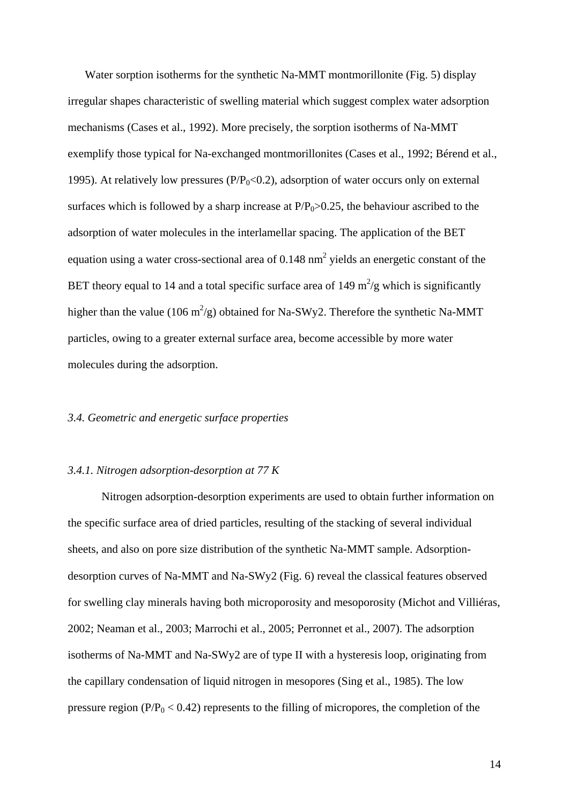Water sorption isotherms for the synthetic Na-MMT montmorillonite (Fig. 5) display irregular shapes characteristic of swelling material which suggest complex water adsorption mechanisms (Cases et al., 1992). More precisely, the sorption isotherms of Na-MMT exemplify those typical for Na-exchanged montmorillonites (Cases et al., 1992; Bérend et al., 1995). At relatively low pressures ( $P/P_0<0.2$ ), adsorption of water occurs only on external surfaces which is followed by a sharp increase at  $P/P_0 > 0.25$ , the behaviour ascribed to the adsorption of water molecules in the interlamellar spacing. The application of the BET equation using a water cross-sectional area of 0.148  $nm<sup>2</sup>$  yields an energetic constant of the BET theory equal to 14 and a total specific surface area of 149  $m^2/g$  which is significantly higher than the value (106 m<sup>2</sup>/g) obtained for Na-SWy2. Therefore the synthetic Na-MMT particles, owing to a greater external surface area, become accessible by more water molecules during the adsorption.

#### *3.4. Geometric and energetic surface properties*

#### *3.4.1. Nitrogen adsorption-desorption at 77 K*

Nitrogen adsorption-desorption experiments are used to obtain further information on the specific surface area of dried particles, resulting of the stacking of several individual sheets, and also on pore size distribution of the synthetic Na-MMT sample. Adsorptiondesorption curves of Na-MMT and Na-SWy2 (Fig. 6) reveal the classical features observed for swelling clay minerals having both microporosity and mesoporosity (Michot and Villiéras, 2002; Neaman et al., 2003; Marrochi et al., 2005; Perronnet et al., 2007). The adsorption isotherms of Na-MMT and Na-SWy2 are of type II with a hysteresis loop, originating from the capillary condensation of liquid nitrogen in mesopores (Sing et al., 1985). The low pressure region ( $P/P_0 < 0.42$ ) represents to the filling of micropores, the completion of the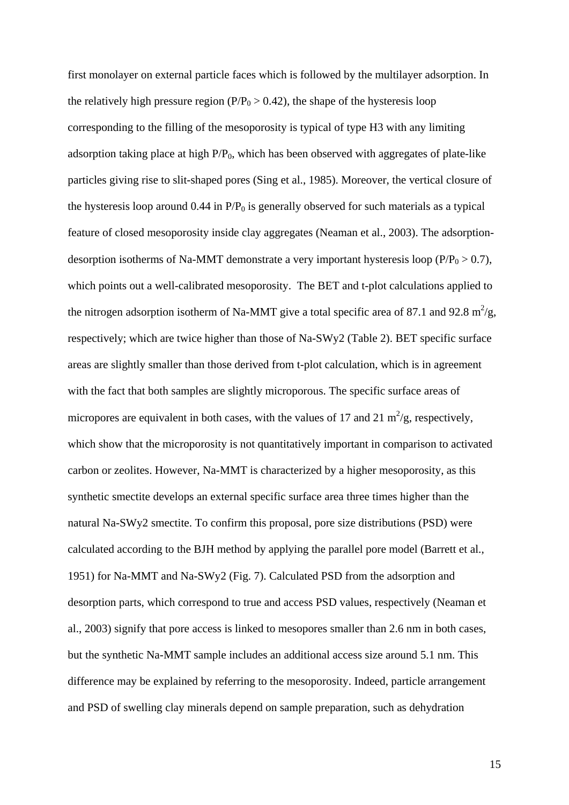first monolayer on external particle faces which is followed by the multilayer adsorption. In the relatively high pressure region ( $P/P_0 > 0.42$ ), the shape of the hysteresis loop corresponding to the filling of the mesoporosity is typical of type H3 with any limiting adsorption taking place at high  $P/P_0$ , which has been observed with aggregates of plate-like particles giving rise to slit-shaped pores (Sing et al., 1985). Moreover, the vertical closure of the hysteresis loop around 0.44 in  $P/P<sub>0</sub>$  is generally observed for such materials as a typical feature of closed mesoporosity inside clay aggregates (Neaman et al., 2003). The adsorptiondesorption isotherms of Na-MMT demonstrate a very important hysteresis loop ( $P/P_0 > 0.7$ ), which points out a well-calibrated mesoporosity. The BET and t-plot calculations applied to the nitrogen adsorption isotherm of Na-MMT give a total specific area of 87.1 and 92.8  $m^2/g$ , respectively; which are twice higher than those of Na-SWy2 (Table 2). BET specific surface areas are slightly smaller than those derived from t-plot calculation, which is in agreement with the fact that both samples are slightly microporous. The specific surface areas of micropores are equivalent in both cases, with the values of 17 and 21  $\text{m}^2/\text{g}$ , respectively, which show that the microporosity is not quantitatively important in comparison to activated carbon or zeolites. However, Na-MMT is characterized by a higher mesoporosity, as this synthetic smectite develops an external specific surface area three times higher than the natural Na-SWy2 smectite. To confirm this proposal, pore size distributions (PSD) were calculated according to the BJH method by applying the parallel pore model (Barrett et al., 1951) for Na-MMT and Na-SWy2 (Fig. 7). Calculated PSD from the adsorption and desorption parts, which correspond to true and access PSD values, respectively (Neaman et al., 2003) signify that pore access is linked to mesopores smaller than 2.6 nm in both cases, but the synthetic Na-MMT sample includes an additional access size around 5.1 nm. This difference may be explained by referring to the mesoporosity. Indeed, particle arrangement and PSD of swelling clay minerals depend on sample preparation, such as dehydration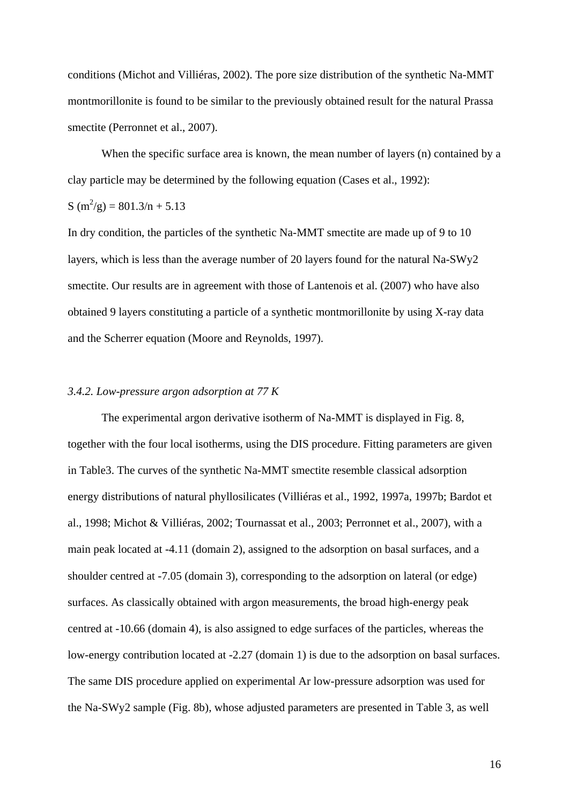conditions (Michot and Villiéras, 2002). The pore size distribution of the synthetic Na-MMT montmorillonite is found to be similar to the previously obtained result for the natural Prassa smectite (Perronnet et al., 2007).

When the specific surface area is known, the mean number of layers (n) contained by a clay particle may be determined by the following equation (Cases et al., 1992):

$$
S(m^2/g) = 801.3/n + 5.13
$$

In dry condition, the particles of the synthetic Na-MMT smectite are made up of 9 to 10 layers, which is less than the average number of 20 layers found for the natural Na-SWy2 smectite. Our results are in agreement with those of Lantenois et al. (2007) who have also obtained 9 layers constituting a particle of a synthetic montmorillonite by using X-ray data and the Scherrer equation (Moore and Reynolds, 1997).

#### *3.4.2. Low-pressure argon adsorption at 77 K*

The experimental argon derivative isotherm of Na-MMT is displayed in Fig. 8, together with the four local isotherms, using the DIS procedure. Fitting parameters are given in Table3. The curves of the synthetic Na-MMT smectite resemble classical adsorption energy distributions of natural phyllosilicates (Villiéras et al., 1992, 1997a, 1997b; Bardot et al., 1998; Michot & Villiéras, 2002; Tournassat et al., 2003; Perronnet et al., 2007), with a main peak located at -4.11 (domain 2), assigned to the adsorption on basal surfaces, and a shoulder centred at -7.05 (domain 3), corresponding to the adsorption on lateral (or edge) surfaces. As classically obtained with argon measurements, the broad high-energy peak centred at -10.66 (domain 4), is also assigned to edge surfaces of the particles, whereas the low-energy contribution located at -2.27 (domain 1) is due to the adsorption on basal surfaces. The same DIS procedure applied on experimental Ar low-pressure adsorption was used for the Na-SWy2 sample (Fig. 8b), whose adjusted parameters are presented in Table 3, as well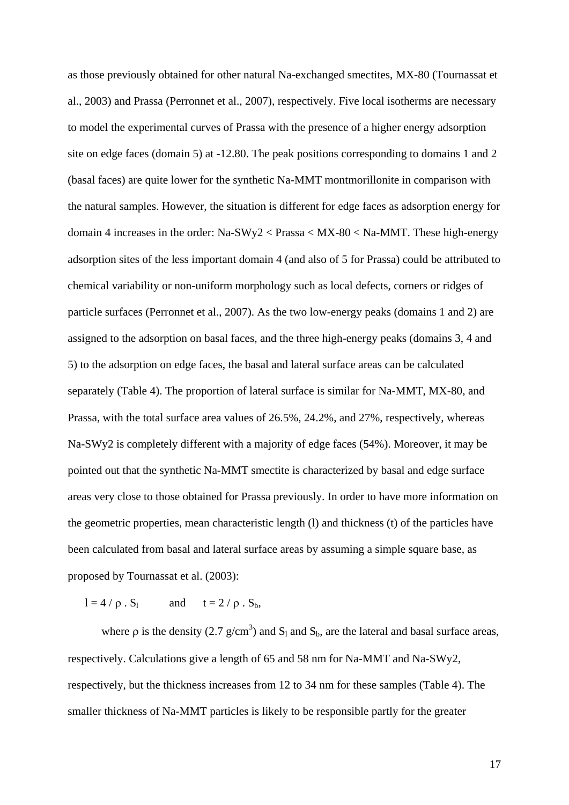as those previously obtained for other natural Na-exchanged smectites, MX-80 (Tournassat et al., 2003) and Prassa (Perronnet et al., 2007), respectively. Five local isotherms are necessary to model the experimental curves of Prassa with the presence of a higher energy adsorption site on edge faces (domain 5) at -12.80. The peak positions corresponding to domains 1 and 2 (basal faces) are quite lower for the synthetic Na-MMT montmorillonite in comparison with the natural samples. However, the situation is different for edge faces as adsorption energy for domain 4 increases in the order: Na-SWy2 < Prassa < MX-80 < Na-MMT. These high-energy adsorption sites of the less important domain 4 (and also of 5 for Prassa) could be attributed to chemical variability or non-uniform morphology such as local defects, corners or ridges of particle surfaces (Perronnet et al., 2007). As the two low-energy peaks (domains 1 and 2) are assigned to the adsorption on basal faces, and the three high-energy peaks (domains 3, 4 and 5) to the adsorption on edge faces, the basal and lateral surface areas can be calculated separately (Table 4). The proportion of lateral surface is similar for Na-MMT, MX-80, and Prassa, with the total surface area values of 26.5%, 24.2%, and 27%, respectively, whereas Na-SWy2 is completely different with a majority of edge faces (54%). Moreover, it may be pointed out that the synthetic Na-MMT smectite is characterized by basal and edge surface areas very close to those obtained for Prassa previously. In order to have more information on the geometric properties, mean characteristic length (l) and thickness (t) of the particles have been calculated from basal and lateral surface areas by assuming a simple square base, as proposed by Tournassat et al. (2003):

 $l = 4 / \rho$ . S<sub>l</sub> and  $t = 2 / \rho$ . S<sub>b</sub>,

where  $\rho$  is the density (2.7 g/cm<sup>3</sup>) and  $S_1$  and  $S_b$ , are the lateral and basal surface areas, respectively. Calculations give a length of 65 and 58 nm for Na-MMT and Na-SWy2, respectively, but the thickness increases from 12 to 34 nm for these samples (Table 4). The smaller thickness of Na-MMT particles is likely to be responsible partly for the greater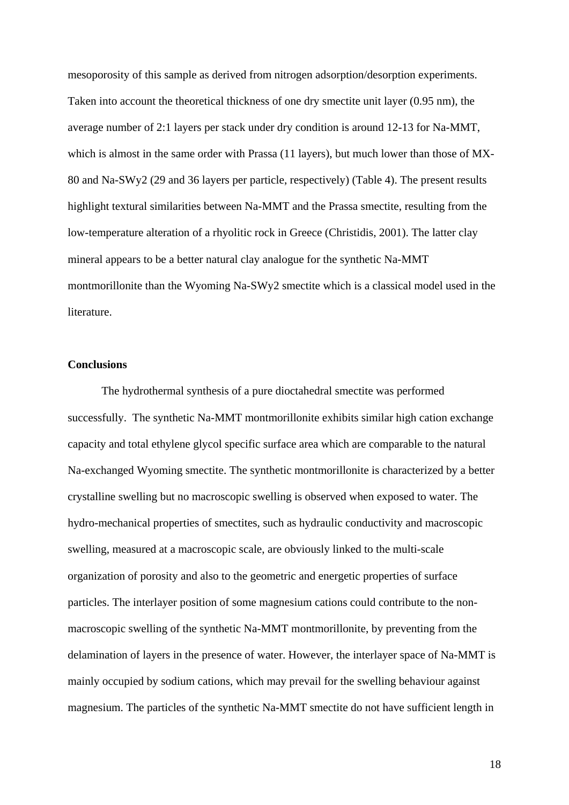mesoporosity of this sample as derived from nitrogen adsorption/desorption experiments. Taken into account the theoretical thickness of one dry smectite unit layer (0.95 nm), the average number of 2:1 layers per stack under dry condition is around 12-13 for Na-MMT, which is almost in the same order with Prassa (11 layers), but much lower than those of MX-80 and Na-SWy2 (29 and 36 layers per particle, respectively) (Table 4). The present results highlight textural similarities between Na-MMT and the Prassa smectite, resulting from the low-temperature alteration of a rhyolitic rock in Greece (Christidis, 2001). The latter clay mineral appears to be a better natural clay analogue for the synthetic Na-MMT montmorillonite than the Wyoming Na-SWy2 smectite which is a classical model used in the literature.

#### **Conclusions**

The hydrothermal synthesis of a pure dioctahedral smectite was performed successfully. The synthetic Na-MMT montmorillonite exhibits similar high cation exchange capacity and total ethylene glycol specific surface area which are comparable to the natural Na-exchanged Wyoming smectite. The synthetic montmorillonite is characterized by a better crystalline swelling but no macroscopic swelling is observed when exposed to water. The hydro-mechanical properties of smectites, such as hydraulic conductivity and macroscopic swelling, measured at a macroscopic scale, are obviously linked to the multi-scale organization of porosity and also to the geometric and energetic properties of surface particles. The interlayer position of some magnesium cations could contribute to the nonmacroscopic swelling of the synthetic Na-MMT montmorillonite, by preventing from the delamination of layers in the presence of water. However, the interlayer space of Na-MMT is mainly occupied by sodium cations, which may prevail for the swelling behaviour against magnesium. The particles of the synthetic Na-MMT smectite do not have sufficient length in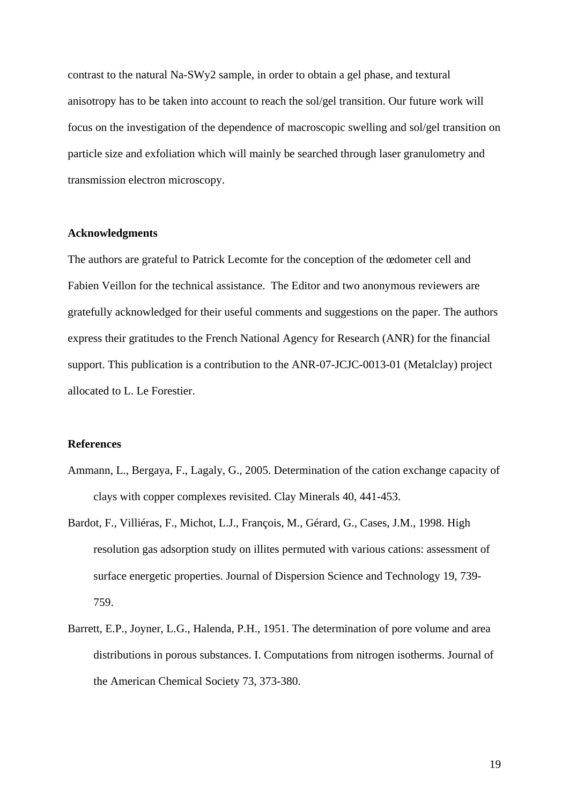contrast to the natural Na-SWy2 sample, in order to obtain a gel phase, and textural anisotropy has to be taken into account to reach the sol/gel transition. Our future work will focus on the investigation of the dependence of macroscopic swelling and sol/gel transition on particle size and exfoliation which will mainly be searched through laser granulometry and transmission electron microscopy.

#### **Acknowledgments**

The authors are grateful to Patrick Lecomte for the conception of the œdometer cell and Fabien Veillon for the technical assistance. The Editor and two anonymous reviewers are gratefully acknowledged for their useful comments and suggestions on the paper. The authors express their gratitudes to the French National Agency for Research (ANR) for the financial support. This publication is a contribution to the ANR-07-JCJC-0013-01 (Metalclay) project allocated to L. Le Forestier.

#### **References**

- Ammann, L., Bergaya, F., Lagaly, G., 2005. Determination of the cation exchange capacity of clays with copper complexes revisited. Clay Minerals 40, 441-453.
- Bardot, F., Villiéras, F., Michot, L.J., François, M., Gérard, G., Cases, J.M., 1998. High resolution gas adsorption study on illites permuted with various cations: assessment of surface energetic properties. Journal of Dispersion Science and Technology 19, 739- 759.
- Barrett, E.P., Joyner, L.G., Halenda, P.H., 1951. The determination of pore volume and area distributions in porous substances. I. Computations from nitrogen isotherms. Journal of the American Chemical Society 73, 373-380.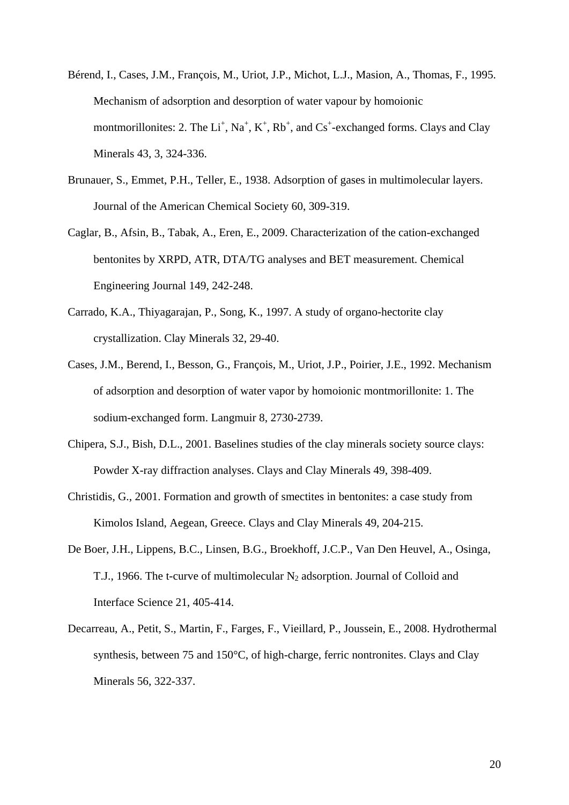- Bérend, I., Cases, J.M., François, M., Uriot, J.P., Michot, L.J., Masion, A., Thomas, F., 1995. Mechanism of adsorption and desorption of water vapour by homoionic montmorillonites: 2. The  $Li^+$ ,  $Na^+$ ,  $K^+$ ,  $Rb^+$ , and  $Cs^+$ -exchanged forms. Clays and Clay Minerals 43, 3, 324-336.
- Brunauer, S., Emmet, P.H., Teller, E., 1938. Adsorption of gases in multimolecular layers. Journal of the American Chemical Society 60, 309-319.
- Caglar, B., Afsin, B., Tabak, A., Eren, E., 2009. Characterization of the cation-exchanged bentonites by XRPD, ATR, DTA/TG analyses and BET measurement. Chemical Engineering Journal 149, 242-248.
- Carrado, K.A., Thiyagarajan, P., Song, K., 1997. A study of organo-hectorite clay crystallization. Clay Minerals 32, 29-40.
- Cases, J.M., Berend, I., Besson, G., François, M., Uriot, J.P., Poirier, J.E., 1992. Mechanism of adsorption and desorption of water vapor by homoionic montmorillonite: 1. The sodium-exchanged form. Langmuir 8, 2730-2739.
- Chipera, S.J., Bish, D.L., 2001. Baselines studies of the clay minerals society source clays: Powder X-ray diffraction analyses. Clays and Clay Minerals 49, 398-409.
- Christidis, G., 2001. Formation and growth of smectites in bentonites: a case study from Kimolos Island, Aegean, Greece. Clays and Clay Minerals 49, 204-215.
- De Boer, J.H., Lippens, B.C., Linsen, B.G., Broekhoff, J.C.P., Van Den Heuvel, A., Osinga, T.J., 1966. The t-curve of multimolecular  $N_2$  adsorption. Journal of Colloid and Interface Science 21, 405-414.
- Decarreau, A., Petit, S., Martin, F., Farges, F., Vieillard, P., Joussein, E., 2008. Hydrothermal synthesis, between 75 and 150°C, of high-charge, ferric nontronites. Clays and Clay Minerals 56, 322-337.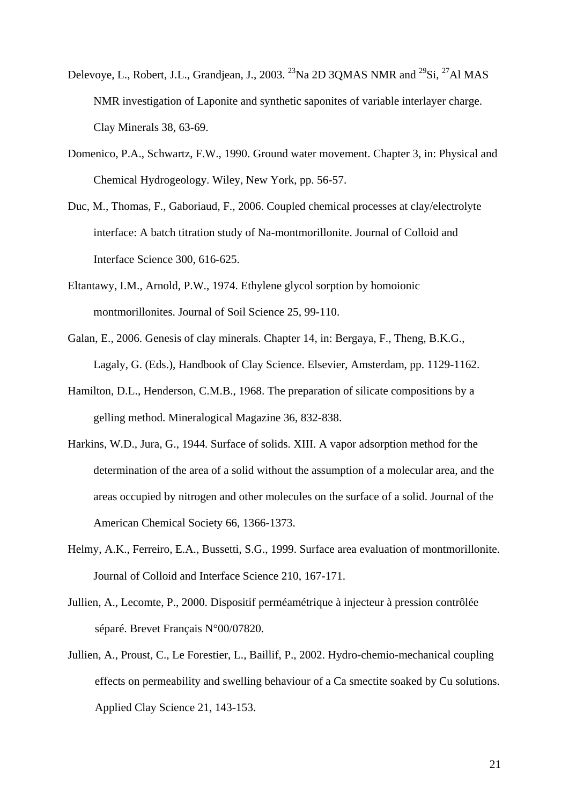- Delevoye, L., Robert, J.L., Grandjean, J., 2003. <sup>23</sup>Na 2D 3OMAS NMR and <sup>29</sup>Si, <sup>27</sup>Al MAS NMR investigation of Laponite and synthetic saponites of variable interlayer charge. Clay Minerals 38, 63-69.
- Domenico, P.A., Schwartz, F.W., 1990. Ground water movement. Chapter 3, in: Physical and Chemical Hydrogeology. Wiley, New York, pp. 56-57.
- Duc, M., Thomas, F., Gaboriaud, F., 2006. Coupled chemical processes at clay/electrolyte interface: A batch titration study of Na-montmorillonite. Journal of Colloid and Interface Science 300, 616-625.
- Eltantawy, I.M., Arnold, P.W., 1974. Ethylene glycol sorption by homoionic montmorillonites. Journal of Soil Science 25, 99-110.
- Galan, E., 2006. Genesis of clay minerals. Chapter 14, in: Bergaya, F., Theng, B.K.G., Lagaly, G. (Eds.), Handbook of Clay Science. Elsevier, Amsterdam, pp. 1129-1162.
- Hamilton, D.L., Henderson, C.M.B., 1968. The preparation of silicate compositions by a gelling method. Mineralogical Magazine 36, 832-838.
- Harkins, W.D., Jura, G., 1944. Surface of solids. XIII. A vapor adsorption method for the determination of the area of a solid without the assumption of a molecular area, and the areas occupied by nitrogen and other molecules on the surface of a solid. Journal of the American Chemical Society 66, 1366-1373.
- Helmy, A.K., Ferreiro, E.A., Bussetti, S.G., 1999. Surface area evaluation of montmorillonite. Journal of Colloid and Interface Science 210, 167-171.
- Jullien, A., Lecomte, P., 2000. Dispositif perméamétrique à injecteur à pression contrôlée séparé. Brevet Français N°00/07820.
- Jullien, A., Proust, C., Le Forestier, L., Baillif, P., 2002. Hydro-chemio-mechanical coupling effects on permeability and swelling behaviour of a Ca smectite soaked by Cu solutions. Applied Clay Science 21, 143-153.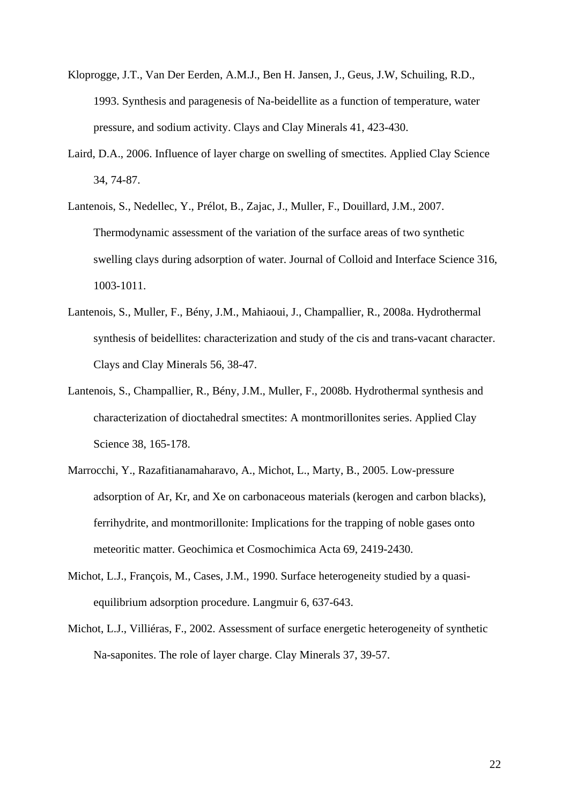- Kloprogge, J.T., Van Der Eerden, A.M.J., Ben H. Jansen, J., Geus, J.W, Schuiling, R.D., 1993. Synthesis and paragenesis of Na-beidellite as a function of temperature, water pressure, and sodium activity. Clays and Clay Minerals 41, 423-430.
- Laird, D.A., 2006. Influence of layer charge on swelling of smectites. Applied Clay Science 34, 74-87.
- Lantenois, S., Nedellec, Y., Prélot, B., Zajac, J., Muller, F., Douillard, J.M., 2007. Thermodynamic assessment of the variation of the surface areas of two synthetic swelling clays during adsorption of water. Journal of Colloid and Interface Science 316, 1003-1011.
- Lantenois, S., Muller, F., Bény, J.M., Mahiaoui, J., Champallier, R., 2008a. Hydrothermal synthesis of beidellites: characterization and study of the cis and trans-vacant character. Clays and Clay Minerals 56, 38-47.
- Lantenois, S., Champallier, R., Bény, J.M., Muller, F., 2008b. Hydrothermal synthesis and characterization of dioctahedral smectites: A montmorillonites series. Applied Clay Science 38, 165-178.
- Marrocchi, Y., Razafitianamaharavo, A., Michot, L., Marty, B., 2005. Low-pressure adsorption of Ar, Kr, and Xe on carbonaceous materials (kerogen and carbon blacks), ferrihydrite, and montmorillonite: Implications for the trapping of noble gases onto meteoritic matter. Geochimica et Cosmochimica Acta 69, 2419-2430.
- Michot, L.J., François, M., Cases, J.M., 1990. Surface heterogeneity studied by a quasiequilibrium adsorption procedure. Langmuir 6, 637-643.
- Michot, L.J., Villiéras, F., 2002. Assessment of surface energetic heterogeneity of synthetic Na-saponites. The role of layer charge. Clay Minerals 37, 39-57.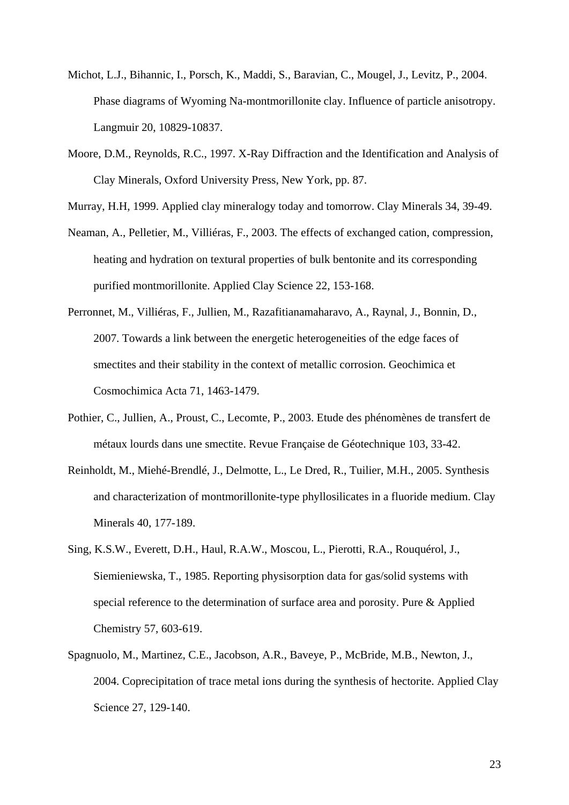- Michot, L.J., Bihannic, I., Porsch, K., Maddi, S., Baravian, C., Mougel, J., Levitz, P., 2004. Phase diagrams of Wyoming Na-montmorillonite clay. Influence of particle anisotropy. Langmuir 20, 10829-10837.
- Moore, D.M., Reynolds, R.C., 1997. X-Ray Diffraction and the Identification and Analysis of Clay Minerals, Oxford University Press, New York, pp. 87.
- Murray, H.H, 1999. Applied clay mineralogy today and tomorrow. Clay Minerals 34, 39-49.
- Neaman, A., Pelletier, M., Villiéras, F., 2003. The effects of exchanged cation, compression, heating and hydration on textural properties of bulk bentonite and its corresponding purified montmorillonite. Applied Clay Science 22, 153-168.
- Perronnet, M., Villiéras, F., Jullien, M., Razafitianamaharavo, A., Raynal, J., Bonnin, D., 2007. Towards a link between the energetic heterogeneities of the edge faces of smectites and their stability in the context of metallic corrosion. Geochimica et Cosmochimica Acta 71, 1463-1479.
- Pothier, C., Jullien, A., Proust, C., Lecomte, P., 2003. Etude des phénomènes de transfert de métaux lourds dans une smectite. Revue Française de Géotechnique 103, 33-42.
- Reinholdt, M., Miehé-Brendlé, J., Delmotte, L., Le Dred, R., Tuilier, M.H., 2005. Synthesis and characterization of montmorillonite-type phyllosilicates in a fluoride medium. Clay Minerals 40, 177-189.
- Sing, K.S.W., Everett, D.H., Haul, R.A.W., Moscou, L., Pierotti, R.A., Rouquérol, J., Siemieniewska, T., 1985. Reporting physisorption data for gas/solid systems with special reference to the determination of surface area and porosity. Pure & Applied Chemistry 57, 603-619.
- Spagnuolo, M., Martinez, C.E., Jacobson, A.R., Baveye, P., McBride, M.B., Newton, J., 2004. Coprecipitation of trace metal ions during the synthesis of hectorite. Applied Clay Science 27, 129-140.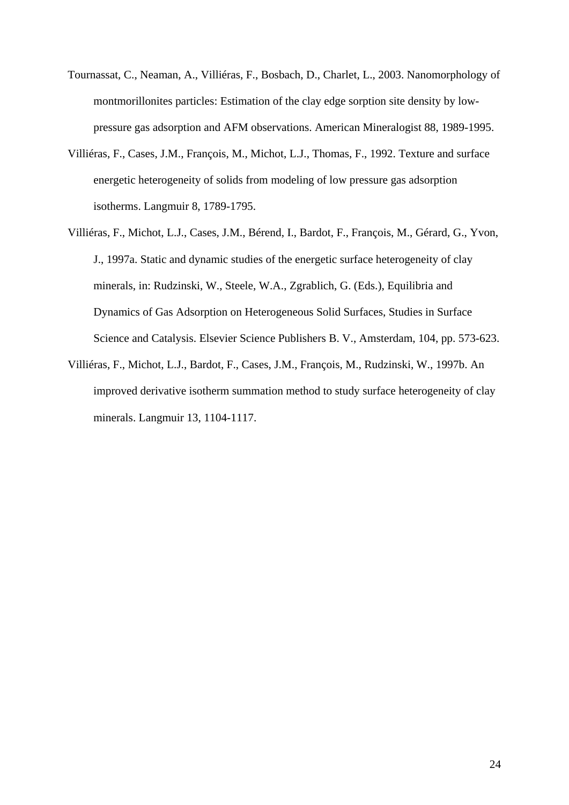- Tournassat, C., Neaman, A., Villiéras, F., Bosbach, D., Charlet, L., 2003. Nanomorphology of montmorillonites particles: Estimation of the clay edge sorption site density by lowpressure gas adsorption and AFM observations. American Mineralogist 88, 1989-1995.
- Villiéras, F., Cases, J.M., François, M., Michot, L.J., Thomas, F., 1992. Texture and surface energetic heterogeneity of solids from modeling of low pressure gas adsorption isotherms. Langmuir 8, 1789-1795.
- Villiéras, F., Michot, L.J., Cases, J.M., Bérend, I., Bardot, F., François, M., Gérard, G., Yvon, J., 1997a. Static and dynamic studies of the energetic surface heterogeneity of clay minerals, in: Rudzinski, W., Steele, W.A., Zgrablich, G. (Eds.), Equilibria and Dynamics of Gas Adsorption on Heterogeneous Solid Surfaces, Studies in Surface Science and Catalysis. Elsevier Science Publishers B. V., Amsterdam, 104, pp. 573-623.
- Villiéras, F., Michot, L.J., Bardot, F., Cases, J.M., François, M., Rudzinski, W., 1997b. An improved derivative isotherm summation method to study surface heterogeneity of clay minerals. Langmuir 13, 1104-1117.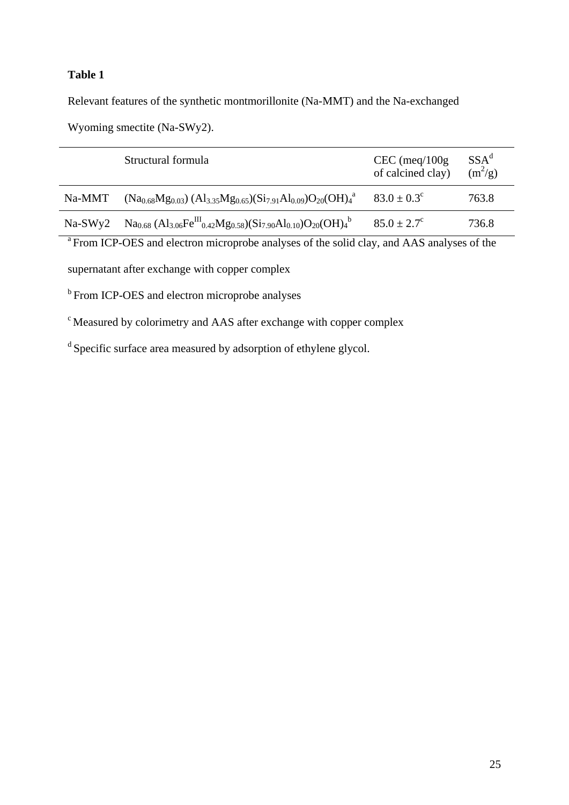Relevant features of the synthetic montmorillonite (Na-MMT) and the Na-exchanged

Wyoming smectite (Na-SWy2).

|           | Structural formula                                                                  | $CEC$ (meq/100g)<br>of calcined clay) | SSA <sup>d</sup><br>$(m^2/g)$ |
|-----------|-------------------------------------------------------------------------------------|---------------------------------------|-------------------------------|
| Na-MMT    | $(Na_{0.68}Mg_{0.03})$ $(Al_{3.35}Mg_{0.65})$ $(Si_{7.91}Al_{0.09})O_{20}$ $(OH)4a$ | $83.0 \pm 0.3^{\circ}$                | 763.8                         |
| $Na-SWv2$ | $Na0.68 (Al3.06FeIII0.42Mg0.58)(Si7.90Al0.10)O20(OH)4b$                             | $85.0 \pm 2.7^{\circ}$                | 736.8                         |

<sup>a</sup> From ICP-OES and electron microprobe analyses of the solid clay, and AAS analyses of the

supernatant after exchange with copper complex

**b** From ICP-OES and electron microprobe analyses

c Measured by colorimetry and AAS after exchange with copper complex

d Specific surface area measured by adsorption of ethylene glycol.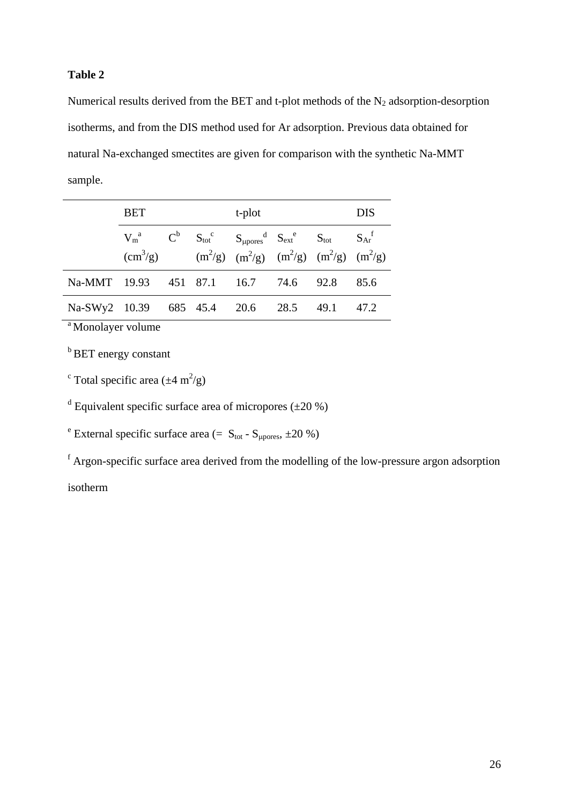Numerical results derived from the BET and t-plot methods of the  $N_2$  adsorption-desorption isotherms, and from the DIS method used for Ar adsorption. Previous data obtained for natural Na-exchanged smectites are given for comparison with the synthetic Na-MMT sample.

|                                  | <b>BET</b>                                                                   |  |  | t-plot                                                                                                                                           | <b>DIS</b> |      |
|----------------------------------|------------------------------------------------------------------------------|--|--|--------------------------------------------------------------------------------------------------------------------------------------------------|------------|------|
|                                  | $V_m^a$ $C^b$ $S_{tot}^c$ $S_{\mu pores}^d$ $S_{ext}^e$ $S_{tot}$ $S_{Ar}^t$ |  |  | $\text{(cm}^3\text{/g)}$ $\text{(m}^2\text{/g)}$ $\text{(m}^2\text{/g)}$ $\text{(m}^2\text{/g)}$ $\text{(m}^2\text{/g)}$ $\text{(m}^2\text{/g)}$ |            |      |
| Na-MMT 19.93                     |                                                                              |  |  | 451 87.1 16.7 74.6 92.8                                                                                                                          |            | 85.6 |
| Na-SWy2 10.39 685 45.4 20.6 28.5 |                                                                              |  |  |                                                                                                                                                  | 49.1       | 47.2 |

<sup>a</sup> Monolayer volume

**b** BET energy constant

<sup>c</sup> Total specific area  $(\pm 4 \text{ m}^2/\text{g})$ 

<sup>d</sup> Equivalent specific surface area of micropores  $(\pm 20\%)$ 

<sup>e</sup> External specific surface area (=  $S_{\text{tot}}$  -  $S_{\mu \text{pores}}$ ,  $\pm 20$  %)

<sup>f</sup> Argon-specific surface area derived from the modelling of the low-pressure argon adsorption isotherm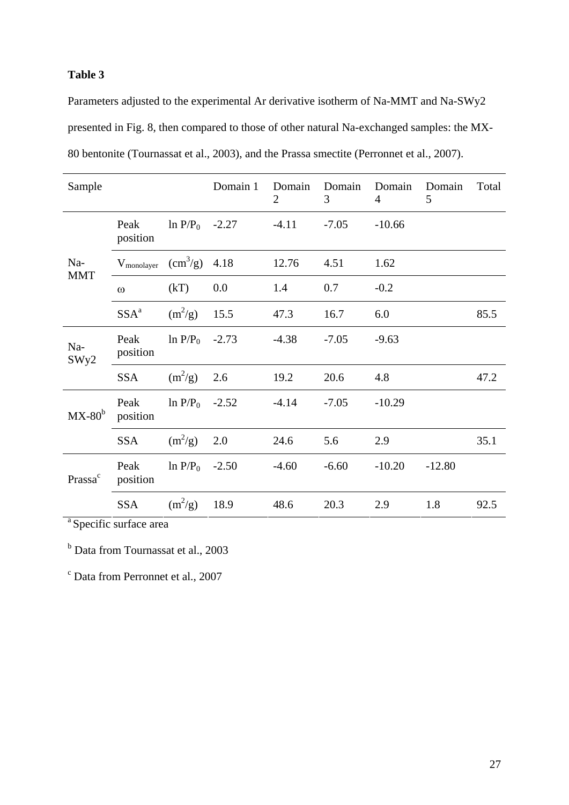Parameters adjusted to the experimental Ar derivative isotherm of Na-MMT and Na-SWy2 presented in Fig. 8, then compared to those of other natural Na-exchanged samples: the MX-80 bentonite (Tournassat et al., 2003), and the Prassa smectite (Perronnet et al., 2007).

| Sample              |                        |                        | Domain 1 | Domain<br>$\overline{2}$ | Domain<br>3 | Domain<br>$\overline{4}$ | Domain<br>5 | Total |
|---------------------|------------------------|------------------------|----------|--------------------------|-------------|--------------------------|-------------|-------|
| Na-<br><b>MMT</b>   | Peak<br>position       | $ln P/P_0$             | $-2.27$  | $-4.11$                  | $-7.05$     | $-10.66$                 |             |       |
|                     | $V_{\text{monolayer}}$ | $\text{cm}^3\text{/g}$ | 4.18     | 12.76                    | 4.51        | 1.62                     |             |       |
|                     | $\omega$               | (kT)                   | 0.0      | 1.4                      | 0.7         | $-0.2$                   |             |       |
|                     | SSA <sup>a</sup>       | $(m^2/g)$              | 15.5     | 47.3                     | 16.7        | 6.0                      |             | 85.5  |
| Na-<br>SWy2         | Peak<br>position       | $ln P/P_0$             | $-2.73$  | $-4.38$                  | $-7.05$     | $-9.63$                  |             |       |
|                     | <b>SSA</b>             | $(m^2/g)$              | 2.6      | 19.2                     | 20.6        | 4.8                      |             | 47.2  |
| $MX-80b$            | Peak<br>position       | $ln P/P_0$             | $-2.52$  | $-4.14$                  | $-7.05$     | $-10.29$                 |             |       |
|                     | <b>SSA</b>             | $(m^2/g)$              | 2.0      | 24.6                     | 5.6         | 2.9                      |             | 35.1  |
| Prassa <sup>c</sup> | Peak<br>position       | $ln P/P_0$             | $-2.50$  | $-4.60$                  | $-6.60$     | $-10.20$                 | $-12.80$    |       |
|                     | <b>SSA</b>             | $(m^2/g)$              | 18.9     | 48.6                     | 20.3        | 2.9                      | 1.8         | 92.5  |

<sup>a</sup> Specific surface area

<sup>b</sup> Data from Tournassat et al., 2003

c Data from Perronnet et al., 2007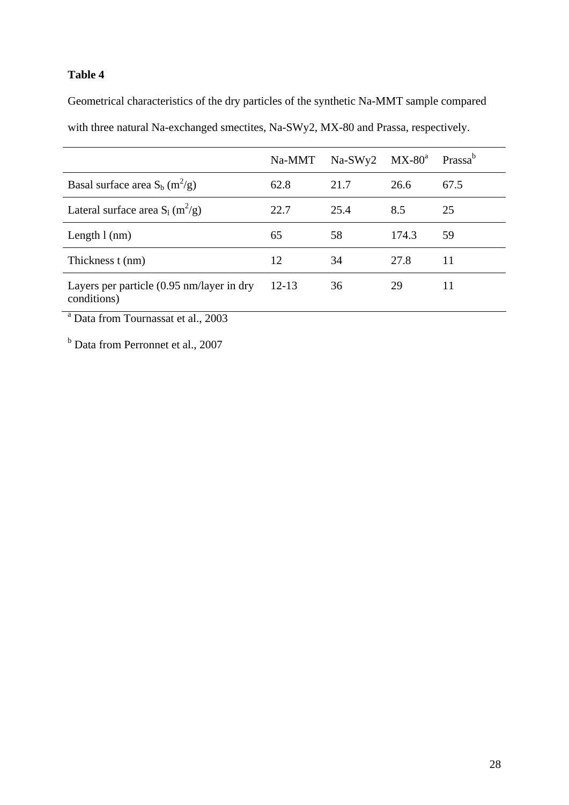Geometrical characteristics of the dry particles of the synthetic Na-MMT sample compared with three natural Na-exchanged smectites, Na-SWy2, MX-80 and Prassa, respectively.

|                                                                           | Na-MMT | $Na-SWy2$ | $MX-80^a$ | Prassa <sup>b</sup> |
|---------------------------------------------------------------------------|--------|-----------|-----------|---------------------|
| Basal surface area $S_b$ (m <sup>2</sup> /g)                              | 62.8   | 21.7      | 26.6      | 67.5                |
| Lateral surface area $S_1(m^2/g)$                                         | 22.7   | 25.4      | 8.5       | 25                  |
| Length $l$ (nm)                                                           | 65     | 58        | 174.3     | 59                  |
| Thickness t (nm)                                                          | 12     | 34        | 27.8      | 11                  |
| Layers per particle $(0.95 \text{ nm}/\text{layer}$ in dry<br>conditions) | 12-13  | 36        | 29        | 11                  |

a Data from Tournassat et al., 2003

<sup>b</sup> Data from Perronnet et al., 2007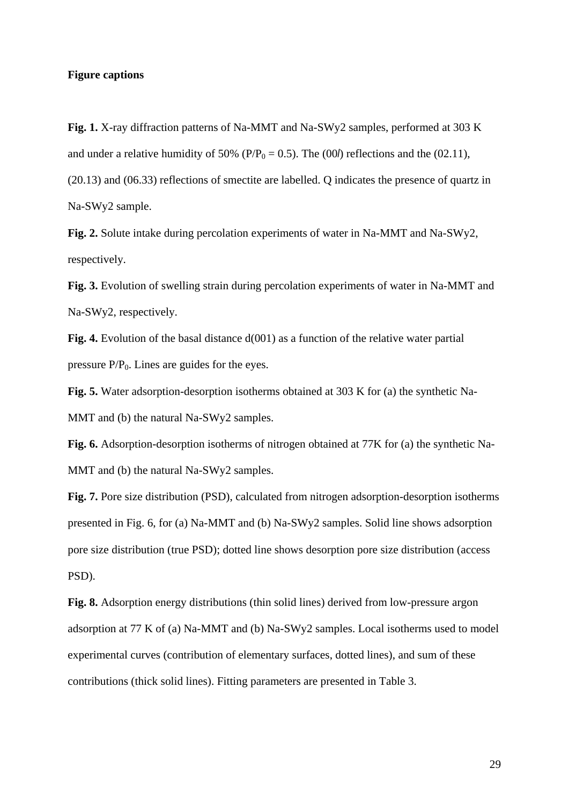#### **Figure captions**

**Fig. 1.** X-ray diffraction patterns of Na-MMT and Na-SWy2 samples, performed at 303 K and under a relative humidity of 50% ( $P/P_0 = 0.5$ ). The (00*l*) reflections and the (02.11), (20.13) and (06.33) reflections of smectite are labelled. Q indicates the presence of quartz in Na-SWy2 sample.

**Fig. 2.** Solute intake during percolation experiments of water in Na-MMT and Na-SWy2, respectively.

**Fig. 3.** Evolution of swelling strain during percolation experiments of water in Na-MMT and Na-SWy2, respectively.

**Fig. 4.** Evolution of the basal distance  $d(001)$  as a function of the relative water partial pressure  $P/P_0$ . Lines are guides for the eyes.

**Fig. 5.** Water adsorption-desorption isotherms obtained at 303 K for (a) the synthetic Na-MMT and (b) the natural Na-SWy2 samples.

**Fig. 6.** Adsorption-desorption isotherms of nitrogen obtained at 77K for (a) the synthetic Na-MMT and (b) the natural Na-SWy2 samples.

**Fig. 7.** Pore size distribution (PSD), calculated from nitrogen adsorption-desorption isotherms presented in Fig. 6, for (a) Na-MMT and (b) Na-SWy2 samples. Solid line shows adsorption pore size distribution (true PSD); dotted line shows desorption pore size distribution (access PSD).

**Fig. 8.** Adsorption energy distributions (thin solid lines) derived from low-pressure argon adsorption at 77 K of (a) Na-MMT and (b) Na-SWy2 samples. Local isotherms used to model experimental curves (contribution of elementary surfaces, dotted lines), and sum of these contributions (thick solid lines). Fitting parameters are presented in Table 3.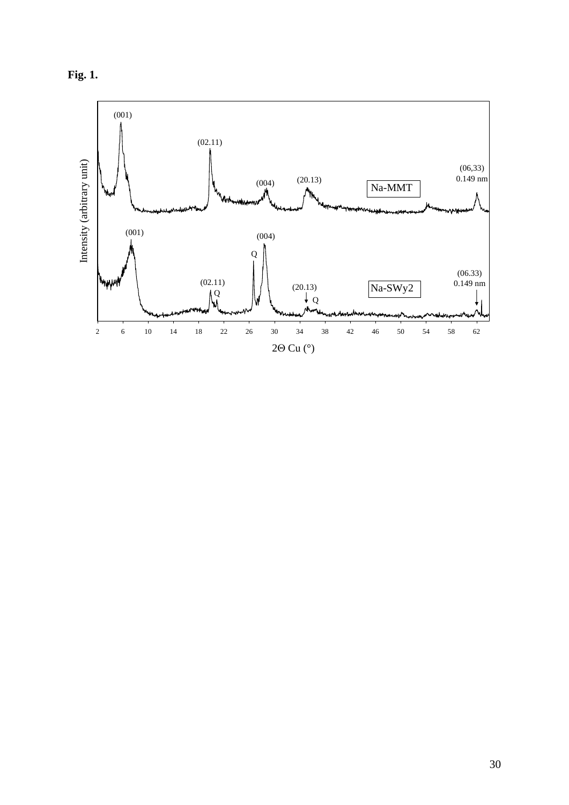

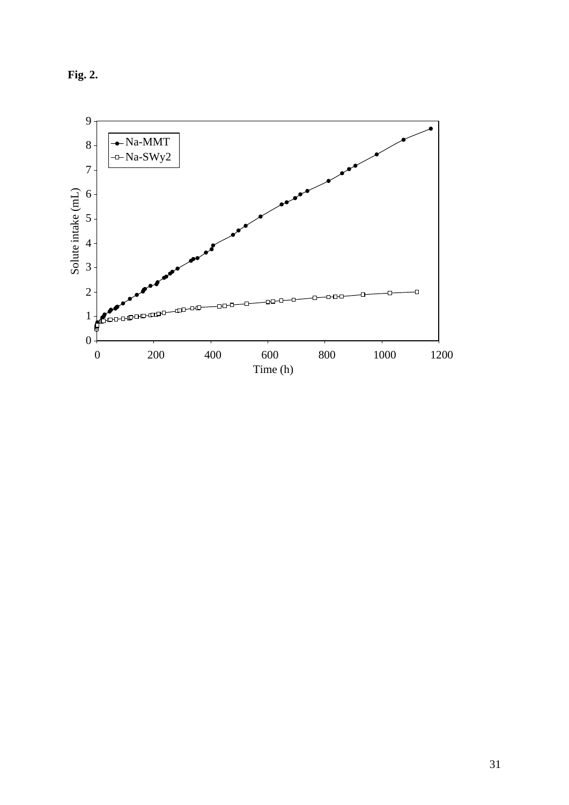

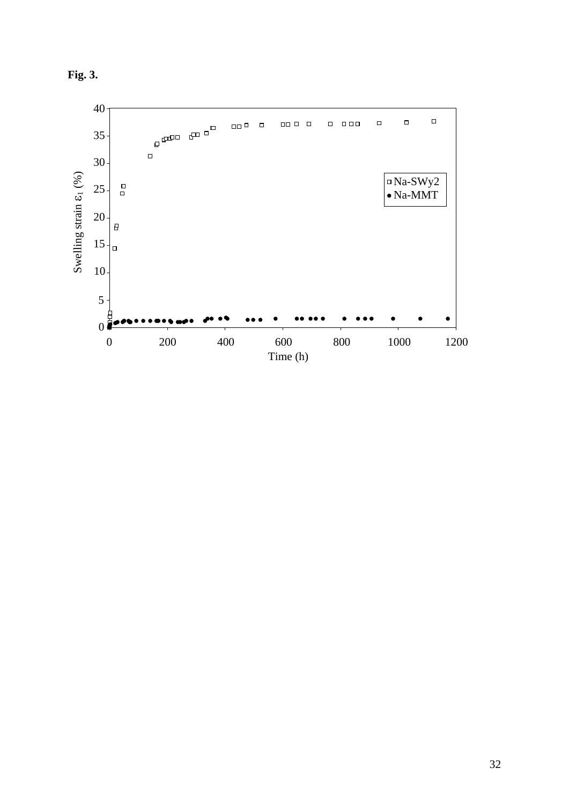

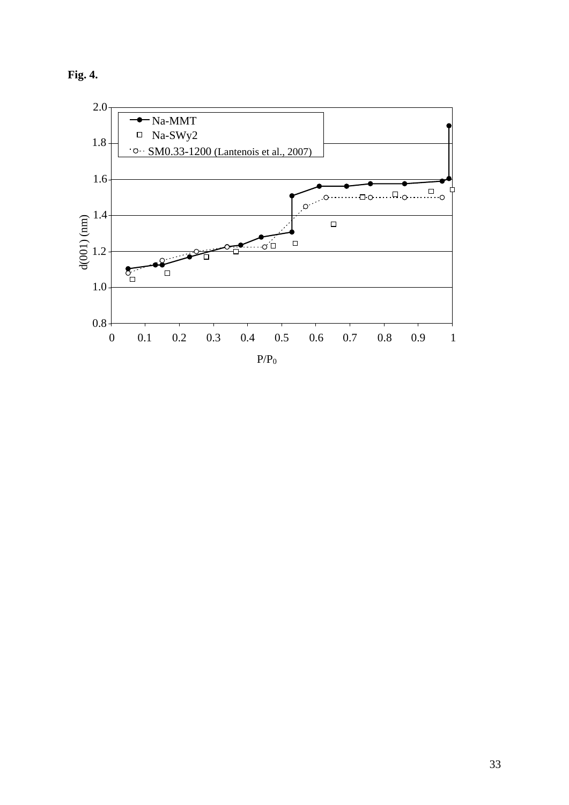

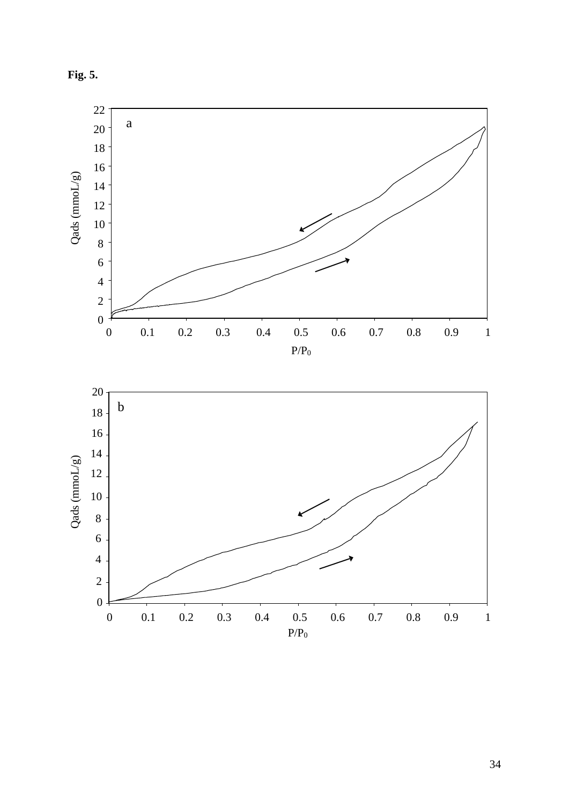

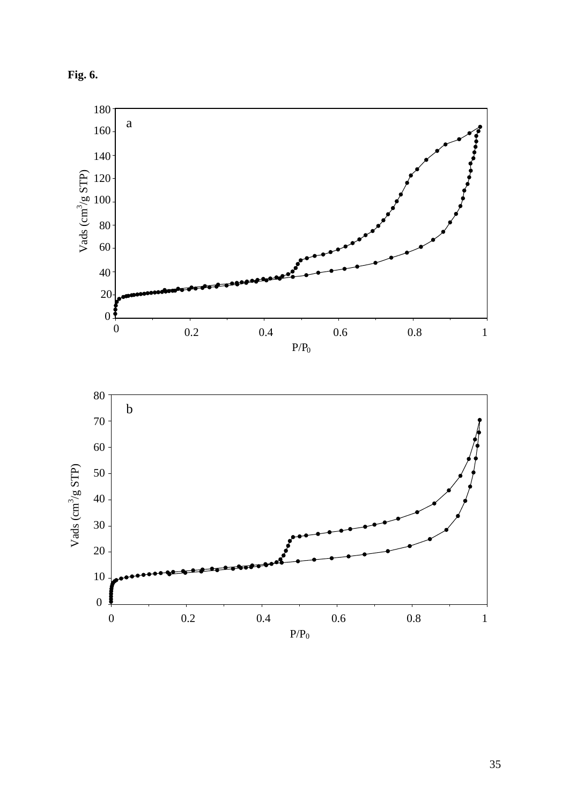

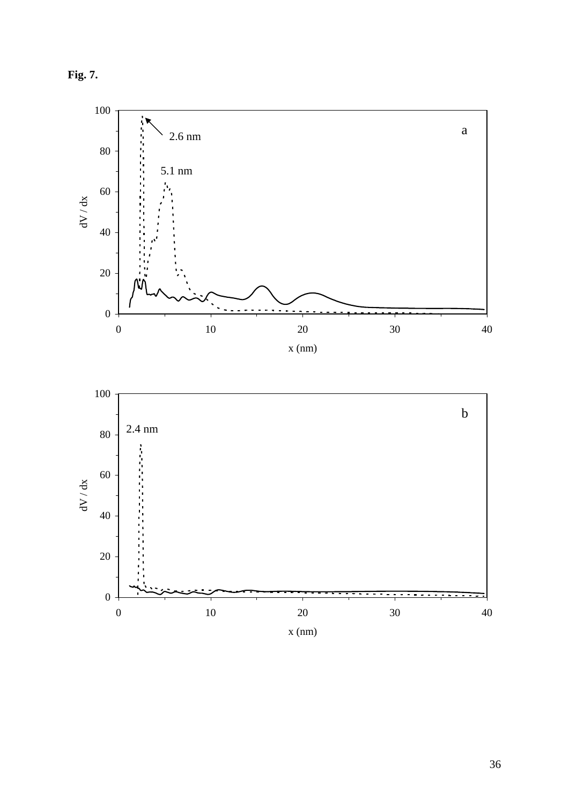

0

 $\overline{\phantom{a}}$ 



0 10 20 30 40 x (nm)

 $-$ Ξ

 $-$